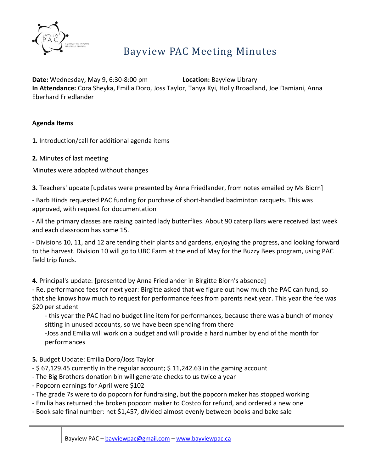

**Date:** Wednesday, May 9, 6:30-8:00 pm **Location:** Bayview Library **In Attendance:** Cora Sheyka, Emilia Doro, Joss Taylor, Tanya Kyi, Holly Broadland, Joe Damiani, Anna Eberhard Friedlander

## **Agenda Items**

**1.** Introduction/call for additional agenda items

**2.** Minutes of last meeting

Minutes were adopted without changes

**3.** Teachers' update [updates were presented by Anna Friedlander, from notes emailed by Ms Biorn]

- Barb Hinds requested PAC funding for purchase of short-handled badminton racquets. This was approved, with request for documentation

- All the primary classes are raising painted lady butterflies. About 90 caterpillars were received last week and each classroom has some 15.

- Divisions 10, 11, and 12 are tending their plants and gardens, enjoying the progress, and looking forward to the harvest. Division 10 will go to UBC Farm at the end of May for the Buzzy Bees program, using PAC field trip funds.

**4.** Principal's update: [presented by Anna Friedlander in Birgitte Biorn's absence]

- Re. performance fees for next year: Birgitte asked that we figure out how much the PAC can fund, so that she knows how much to request for performance fees from parents next year. This year the fee was \$20 per student

- this year the PAC had no budget line item for performances, because there was a bunch of money sitting in unused accounts, so we have been spending from there

-Joss and Emilia will work on a budget and will provide a hard number by end of the month for performances

## **5.** Budget Update: Emilia Doro/Joss Taylor

- \$ 67,129.45 currently in the regular account; \$ 11,242.63 in the gaming account
- The Big Brothers donation bin will generate checks to us twice a year
- Popcorn earnings for April were \$102
- The grade 7s were to do popcorn for fundraising, but the popcorn maker has stopped working
- Emilia has returned the broken popcorn maker to Costco for refund, and ordered a new one
- Book sale final number: net \$1,457, divided almost evenly between books and bake sale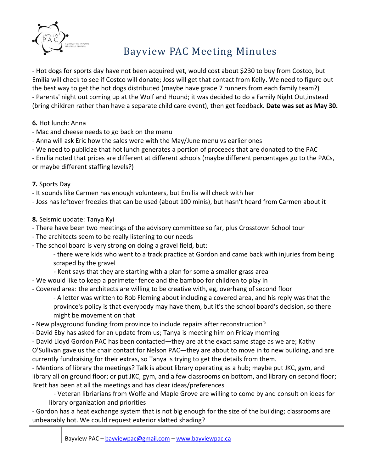

# Bayview PAC Meeting Minutes

- Hot dogs for sports day have not been acquired yet, would cost about \$230 to buy from Costco, but Emilia will check to see if Costco will donate; Joss will get that contact from Kelly. We need to figure out the best way to get the hot dogs distributed (maybe have grade 7 runners from each family team?) - Parents' night out coming up at the Wolf and Hound; it was decided to do a Family Night Out,instead (bring children rather than have a separate child care event), then get feedback. **Date was set as May 30.**

- **6.** Hot lunch: Anna
- Mac and cheese needs to go back on the menu
- Anna will ask Eric how the sales were with the May/June menu vs earlier ones
- We need to publicize that hot lunch generates a portion of proceeds that are donated to the PAC

- Emilia noted that prices are different at different schools (maybe different percentages go to the PACs, or maybe different staffing levels?)

### **7.** Sports Day

- It sounds like Carmen has enough volunteers, but Emilia will check with her

- Joss has leftover freezies that can be used (about 100 minis), but hasn't heard from Carmen about it

### **8.** Seismic update: Tanya Kyi

- There have been two meetings of the advisory committee so far, plus Crosstown School tour
- The architects seem to be really listening to our needs
- The school board is very strong on doing a gravel field, but:

- there were kids who went to a track practice at Gordon and came back with injuries from being scraped by the gravel

- Kent says that they are starting with a plan for some a smaller grass area
- We would like to keep a perimeter fence and the bamboo for children to play in
- Covered area: the architects are willing to be creative with, eg, overhang of second floor

- A letter was written to Rob Fleming about including a covered area, and his reply was that the province's policy is that everybody may have them, but it's the school board's decision, so there might be movement on that

- New playground funding from province to include repairs after reconstruction?
- David Eby has asked for an update from us; Tanya is meeting him on Friday morning

- David Lloyd Gordon PAC has been contacted—they are at the exact same stage as we are; Kathy O'Sullivan gave us the chair contact for Nelson PAC—they are about to move in to new building, and are currently fundraising for their extras, so Tanya is trying to get the details from them.

- Mentions of library the meetings? Talk is about library operating as a hub; maybe put JKC, gym, and library all on ground floor; or put JKC, gym, and a few classrooms on bottom, and library on second floor; Brett has been at all the meetings and has clear ideas/preferences

- Veteran libriarians from Wolfe and Maple Grove are willing to come by and consult on ideas for library organization and priorities

- Gordon has a heat exchange system that is not big enough for the size of the building; classrooms are unbearably hot. We could request exterior slatted shading?